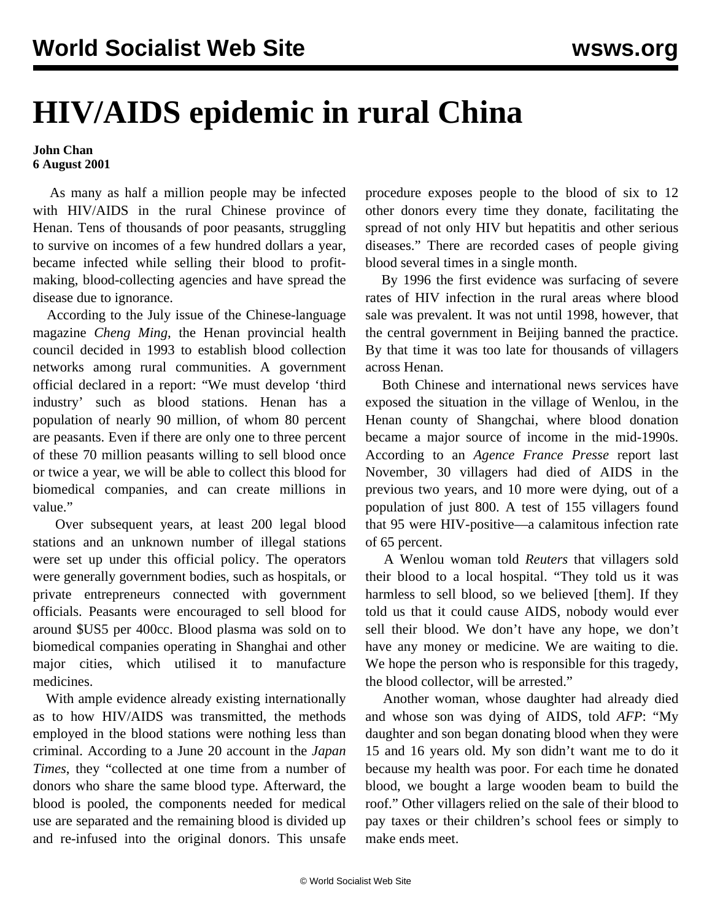## **HIV/AIDS epidemic in rural China**

## **John Chan 6 August 2001**

 As many as half a million people may be infected with HIV/AIDS in the rural Chinese province of Henan. Tens of thousands of poor peasants, struggling to survive on incomes of a few hundred dollars a year, became infected while selling their blood to profitmaking, blood-collecting agencies and have spread the disease due to ignorance.

 According to the July issue of the Chinese-language magazine *Cheng Ming*, the Henan provincial health council decided in 1993 to establish blood collection networks among rural communities. A government official declared in a report: "We must develop 'third industry' such as blood stations. Henan has a population of nearly 90 million, of whom 80 percent are peasants. Even if there are only one to three percent of these 70 million peasants willing to sell blood once or twice a year, we will be able to collect this blood for biomedical companies, and can create millions in value."

 Over subsequent years, at least 200 legal blood stations and an unknown number of illegal stations were set up under this official policy. The operators were generally government bodies, such as hospitals, or private entrepreneurs connected with government officials. Peasants were encouraged to sell blood for around \$US5 per 400cc. Blood plasma was sold on to biomedical companies operating in Shanghai and other major cities, which utilised it to manufacture medicines.

 With ample evidence already existing internationally as to how HIV/AIDS was transmitted, the methods employed in the blood stations were nothing less than criminal. According to a June 20 account in the *Japan Times*, they "collected at one time from a number of donors who share the same blood type. Afterward, the blood is pooled, the components needed for medical use are separated and the remaining blood is divided up and re-infused into the original donors. This unsafe

procedure exposes people to the blood of six to 12 other donors every time they donate, facilitating the spread of not only HIV but hepatitis and other serious diseases." There are recorded cases of people giving blood several times in a single month.

 By 1996 the first evidence was surfacing of severe rates of HIV infection in the rural areas where blood sale was prevalent. It was not until 1998, however, that the central government in Beijing banned the practice. By that time it was too late for thousands of villagers across Henan.

 Both Chinese and international news services have exposed the situation in the village of Wenlou, in the Henan county of Shangchai, where blood donation became a major source of income in the mid-1990s. According to an *Agence France Presse* report last November, 30 villagers had died of AIDS in the previous two years, and 10 more were dying, out of a population of just 800. A test of 155 villagers found that 95 were HIV-positive—a calamitous infection rate of 65 percent.

 A Wenlou woman told *Reuters* that villagers sold their blood to a local hospital. "They told us it was harmless to sell blood, so we believed [them]. If they told us that it could cause AIDS, nobody would ever sell their blood. We don't have any hope, we don't have any money or medicine. We are waiting to die. We hope the person who is responsible for this tragedy, the blood collector, will be arrested."

 Another woman, whose daughter had already died and whose son was dying of AIDS, told *AFP*: "My daughter and son began donating blood when they were 15 and 16 years old. My son didn't want me to do it because my health was poor. For each time he donated blood, we bought a large wooden beam to build the roof." Other villagers relied on the sale of their blood to pay taxes or their children's school fees or simply to make ends meet.